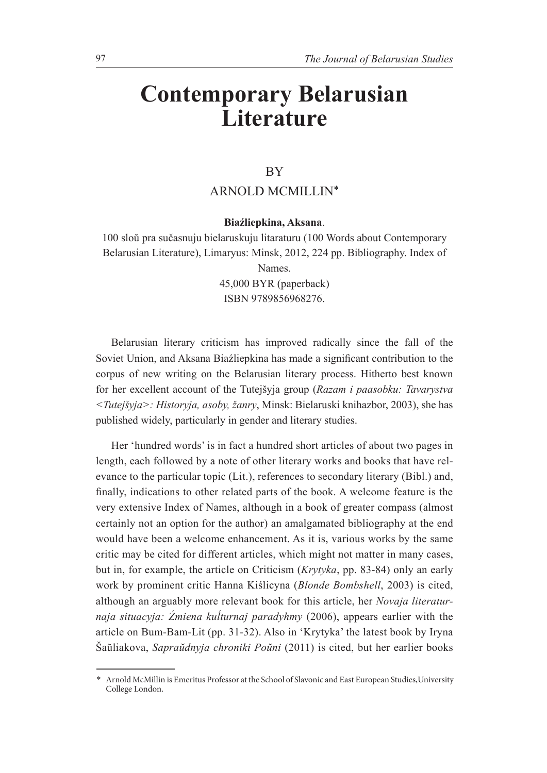## **Contemporary Belarusian Literature**

## BY

## ARNOLD MCMILLIN\*

## Biaźliepkina, Aksana.

100 sloŭ pra sučasnuju bielaruskuju litaraturu (100 Words about Contemporary Belarusian Literature), Limaryus: Minsk, 2012, 224 pp. Bibliography. Index of Names. 45,000 BYR (paperback) ISBN 9789856968276.

Belarusian literary criticism has improved radically since the fall of the Soviet Union, and Aksana Biaźliepkina has made a significant contribution to the corpus of new writing on the Belarusian literary process. Hitherto best known for her excellent account of the Tutejšyja group (*Razam i paasobku: Tavarystva 7XWHMã\MD!+LVWRU\MDDVRE\åDQU\*, Minsk: Bielaruski knihazbor, 2003), she has published widely, particularly in gender and literary studies.

Her 'hundred words' is in fact a hundred short articles of about two pages in length, each followed by a note of other literary works and books that have relevance to the particular topic (Lit.), references to secondary literary (Bibl.) and, finally, indications to other related parts of the book. A welcome feature is the very extensive Index of Names, although in a book of greater compass (almost certainly not an option for the author) an amalgamated bibliography at the end would have been a welcome enhancement. As it is, various works by the same critic may be cited for different articles, which might not matter in many cases, but in, for example, the article on Criticism (*Krytyka*, pp. 83-84) only an early work by prominent critic Hanna Kislicyna (*Blonde Bombshell*, 2003) is cited, although an arguably more relevant book for this article, her *Novaja literaturnaja situacyja: Źmiena kulturnaj paradyhmy* (2006), appears earlier with the article on Bum-Bam-Lit (pp. 31-32). Also in 'Krytyka' the latest book by Iryna Šaŭliakova, Sapraŭdnyja chroniki Poŭni (2011) is cited, but her earlier books

<sup>\*</sup> Arnold McMillin is Emeritus Professor at the School of Slavonic and East European Studies,University College London.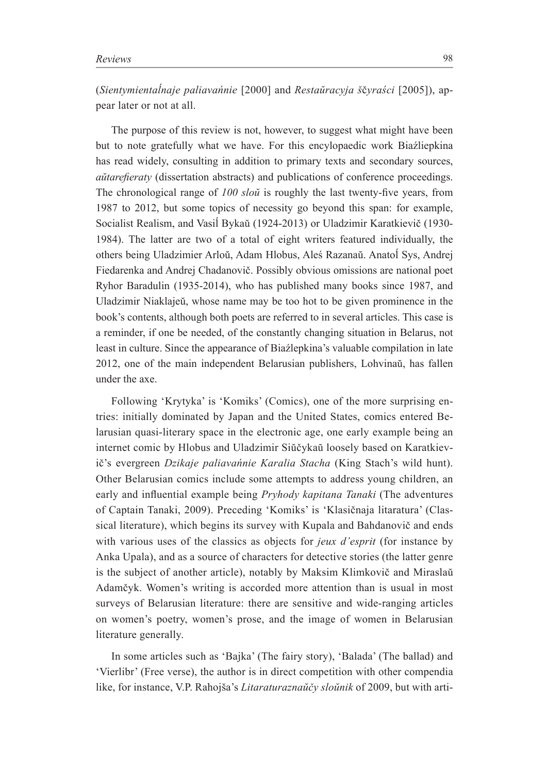(*Sientymientalnaje paliavańnie* [2000] and *Restaŭracyja ščyraści* [2005]), appear later or not at all.

The purpose of this review is not, however, to suggest what might have been but to note gratefully what we have. For this encylopaedic work Biaźliepkina has read widely, consulting in addition to primary texts and secondary sources, *dutarefieraty* (dissertation abstracts) and publications of conference proceedings. The chronological range of *100 slou* is roughly the last twenty-five years, from 1987 to 2012, but some topics of necessity go beyond this span: for example, Socialist Realism, and Vasil Bykaŭ (1924-2013) or Uladzimir Karatkievič (1930-1984). The latter are two of a total of eight writers featured individually, the others being Uladzimier Arloŭ, Adam Hlobus, Aleś Razanaŭ. Anatol Sys, Andrej Fiedarenka and Andrej Chadanovič. Possibly obvious omissions are national poet Ryhor Baradulin (1935-2014), who has published many books since 1987, and Uladzimir Niaklajeŭ, whose name may be too hot to be given prominence in the book's contents, although both poets are referred to in several articles. This case is a reminder, if one be needed, of the constantly changing situation in Belarus, not least in culture. Since the appearance of Biazlepkina's valuable compilation in late 2012, one of the main independent Belarusian publishers, Lohvinaŭ, has fallen under the axe.

Following 'Krytyka' is 'Komiks' (Comics), one of the more surprising entries: initially dominated by Japan and the United States, comics entered Belarusian quasi-literary space in the electronic age, one early example being an internet comic by Hlobus and Uladzimir Siŭčykaŭ loosely based on Karatkievič's evergreen *Dzikaje paliavańnie Karalia Stacha* (King Stach's wild hunt). Other Belarusian comics include some attempts to address young children, an early and influential example being *Pryhody kapitana Tanaki* (The adventures of Captain Tanaki, 2009). Preceding 'Komiks' is 'Klasičnaja litaratura' (Classical literature), which begins its survey with Kupala and Bahdanovič and ends with various uses of the classics as objects for *jeux d'esprit* (for instance by Anka Upala), and as a source of characters for detective stories (the latter genre is the subject of another article), notably by Maksim Klimkovič and Miraslaŭ Adamčyk. Women's writing is accorded more attention than is usual in most surveys of Belarusian literature: there are sensitive and wide-ranging articles on women's poetry, women's prose, and the image of women in Belarusian literature generally.

In some articles such as 'Bajka' (The fairy story), 'Balada' (The ballad) and 'Vierlibr' (Free verse), the author is in direct competition with other compendia like, for instance, V.P. Rahojša's *Litaraturaznaŭčy sloŭnik* of 2009, but with arti